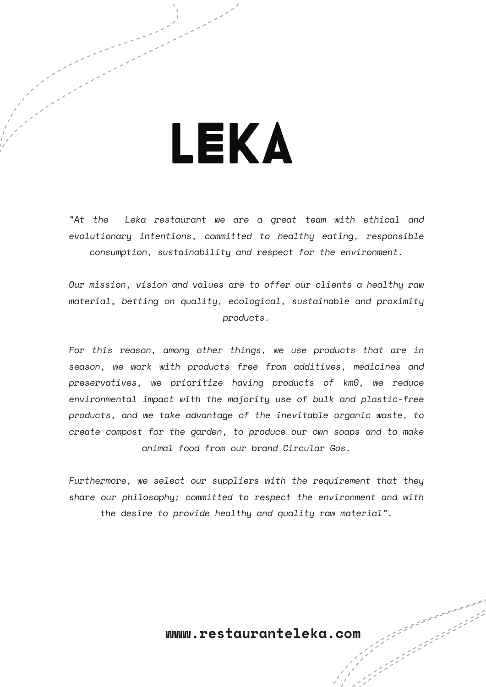## LEKA

"At the Leka restaurant we are a great team with ethical and evolutionary intentions, committed to healthy eating, responsible consumption, sustainability and respect for the environment.

Our mission, vision and values are to offer our clients a healthy raw material, betting on quality, ecological, sustainable and proximity products.

For this reason, among other things, we use products that are in season, we work with products free from additives, medicines and preservatives, we prioritize having products of km0, we reduce environmental impact with the majority use of bulk and plastic-free products, and we take advantage of the inevitable organic waste, to create compost for the garden, to produce our own soaps and to make animal food from our brand Circular Gos.

Furthermore, we select our suppliers with the requirement that they share our philosophy; committed to respect the environment and with the desire to provide healthy and quality raw material".

**www.restauranteleka.com**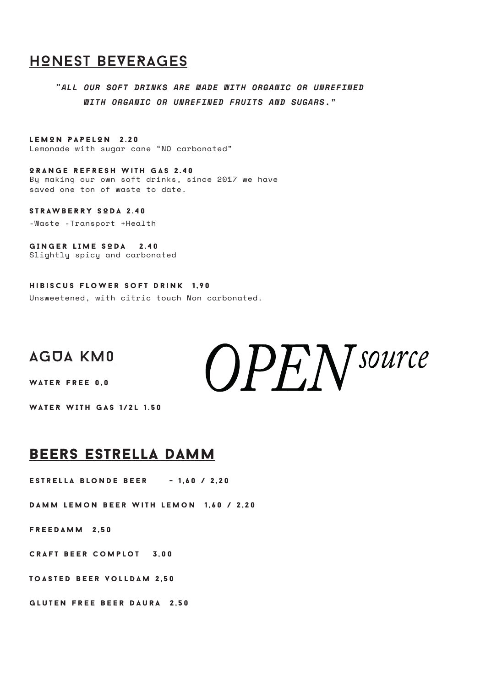## HONEST BEVERAGES

*¨ALL OUR SOFT DRINKS ARE MADE WITH ORGANIC OR UNREFINED WITH ORGANIC OR UNREFINED FRUITS AND SUGARS."*

LEMON PAPELON 2.20 Lemonade with sugar cane "NO carbonated"

ORANGE REFRESH with gas 2.40 By making our own soft drinks, since 2017 we have saved one ton of waste to date.

STRAWBERRY SODA 2.40

-Waste -Transport +Health

GINGER LIME SODA 2.40 Slightly spicy and carbonated

Hibiscus flower soft drink 1,90 Unsweetened, with citric touch Non carbonated.

## AGUA km0

WATER free 0,0

WATER WITH GAS 1/2l 1.50

## beers estrella damm

Estrella blonde beer - 1,60 / 2,20

Damm lemon beer with lemon 1,60 / 2,20

FREEDAMM 2,50

Craft beer complot 3,00

Toasted beer volldam 2,50

Gluten free beer daura 2,50

 $OPEN$  Source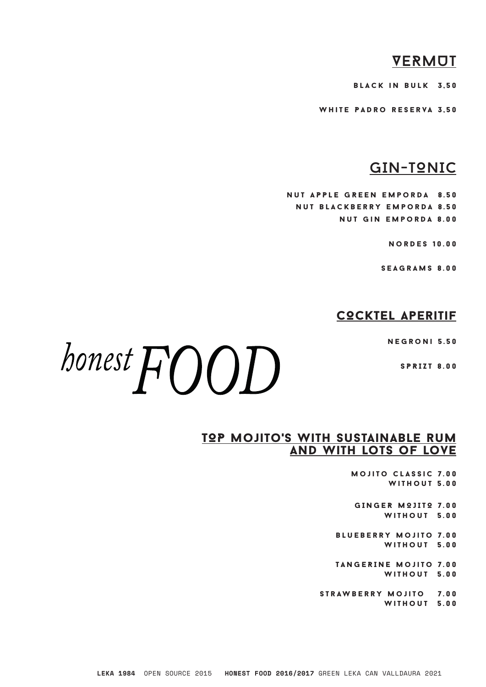## **VERMOT**

black in bulk 3,50

white Padro reserva 3,50

## GIN-TONIC

nut APPLE GREEN emporda 8.50 nut blackberry emporda 8.50 nut gin emporda 8.00

nordes 10.00

seagrams 8.00

### COCKTEL aperitif

negroni 5.50

SPRIZT 8.00

# honest  $FOD$

#### TOP MOJITO'S WITH SUSTAINABLE RUM and with lots of love

mojito classic 7.00 without 5.00

GINGER MOJITO 7.00 without 5.00

blueberry mojito 7.00 without 5.00

TANGERINE mojito 7.00 without 5.00

strawberry mojito 7.00 without 5.00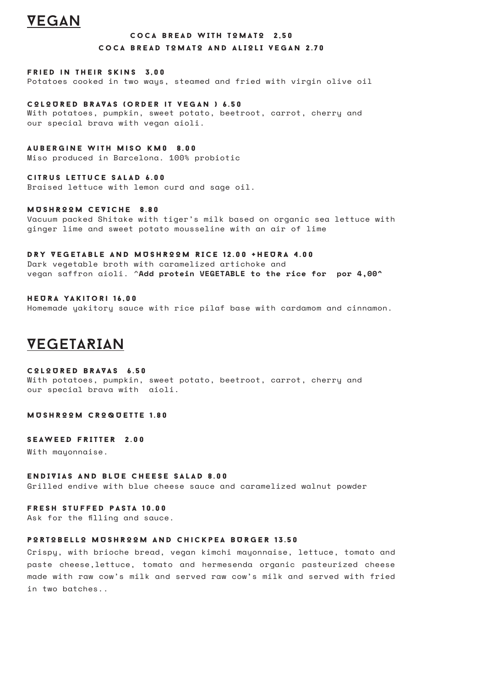## VEGAN

#### COCA BREAD WITH TOMATO 2,50 COCA BREAD TOMATO AND ALIOLI VEGAN 2.70

#### fried in their skins 3,00

Potatoes cooked in two ways, steamed and fried with virgin olive oil

COLOURED BRAVAS (order it vegan ) 6.50

With potatoes, pumpkin, sweet potato, beetroot, carrot, cherry and our special brava with vegan aioli.

#### Aubergine with Miso KM0 8.00

Miso produced in Barcelona. 100% probiotic

#### citrus lettuce salad 6.00

Braised lettuce with lemon curd and sage oil.

#### MUSHROOM CEVICHE 8.80

Vacuum packed Shitake with tiger's milk based on organic sea lettuce with ginger lime and sweet potato mousseline with an air of lime

#### DRY VEGETABLE AND MUSHROOM RICE 12.00 +HEURA 4.00

Dark vegetable broth with caramelized artichoke and vegan saffron aioli. ^**Add protein VEGETABLE to the rice for por 4,00^**

#### HEURA yakitori 16,00 Homemade yakitory sauce with rice pilaf base with cardamom and cinnamon.

## VEGETARIAN

#### COLOURED BRAVAS 6.50

With potatoes, pumpkin, sweet potato, beetroot, carrot, cherry and our special brava with aioli.

#### MUSHROOM CROQUETTE 1.80

#### SEAWEED FRITTER 2.00

With mayonnaise.

#### ENDIVIAS AND BLUE CHEESE SALAD 8.00

Grilled endive with blue cheese sauce and caramelized walnut powder

#### **FRESH STUFFED PASTA 10.00**

Ask for the filling and sauce.

#### PORTOBELLO MUSHROOM AND chickpea BURGER 13.50

Crispy, with brioche bread, vegan kimchi mayonnaise, lettuce, tomato and paste cheese,lettuce, tomato and hermesenda organic pasteurized cheese made with raw cow's milk and served raw cow's milk and served with fried in two batches..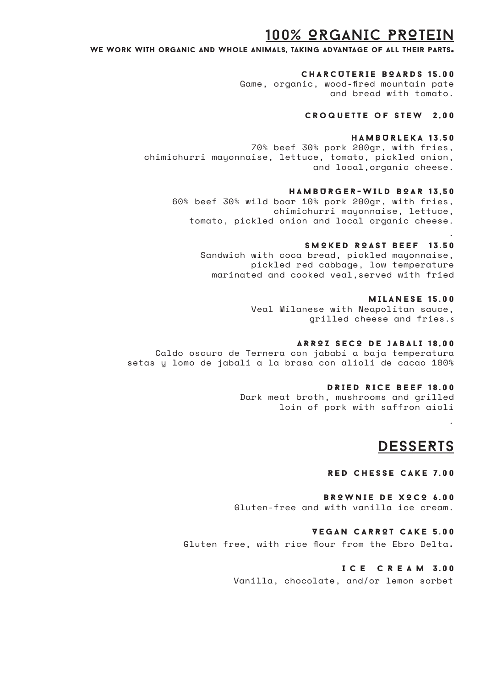## 100% ORGANIC PROTEIN

We work with organic and whole animals, taking advantage of all their parts.

#### CHARCUTERIE BOARDS 15.00

Game, organic, wood-fired mountain pate and bread with tomato.

#### croquette of stew 2,00

#### HAMBURLEKA 13.50

70% beef 30% pork 200gr, with fries, chimichurri mayonnaise, lettuce, tomato, pickled onion, and local,organic cheese.

#### HAMBURGER-WILD BOAR 13,50

60% beef 30% wild boar 10% pork 200gr, with fries, chimichurri mayonnaise, lettuce, tomato, pickled onion and local organic cheese.

#### SMOKED ROAST BEEF 13.50

Sandwich with coca bread, pickled mayonnaise, pickled red cabbage, low temperature marinated and cooked veal,served with fried

#### MILANESE 15.00

.

.

Veal Milanese with Neapolitan sauce, grilled cheese and fries.s

#### ARROZ SECO DE JABALI 18,00

Caldo oscuro de Ternera con jababí a baja temperatura setas y lomo de jabali a la brasa con alioli de cacao 100%

#### DRIED RICE BEEF 18.00

Dark meat broth, mushrooms and grilled loin of pork with saffron aioli

## DESSERTS

#### RED CHESSE CAKE 7.00

BROWNIE DE XOCO 6.00 Gluten-free and with vanilla ice cream.

#### VEGAN CARROT CAKE 5.00

Gluten free, with rice flour from the Ebro Delta**.** 

#### I C E C R E A M 3.00

Vanilla, chocolate, and/or lemon sorbet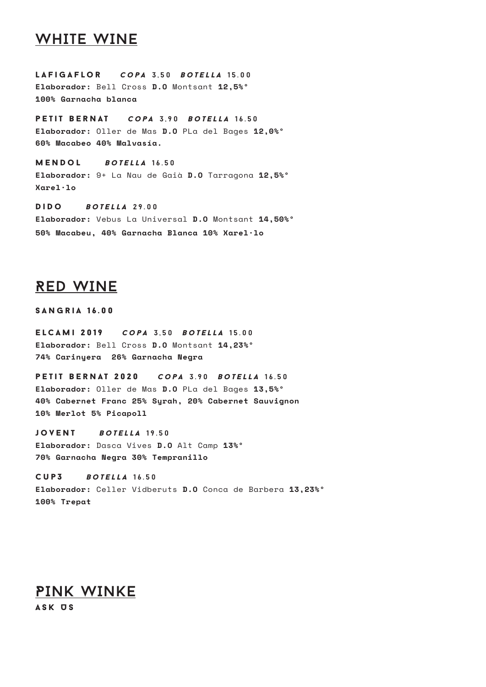## WHITE WINE

lafigaflor *copa* 3,50 *boTELLA* 15.00 **Elaborador:** Bell Cross **D.O** Montsant **12,5%º 100% Garnacha blanca** 

petit bernat *copa* 3,90 *boTELLA* 16.50 **Elaborador:** Oller de Mas **D.O** PLa del Bages **12,0%º 60% Macabeo 40% Malvasía.** 

mendol *boTELLA* 16.50 **Elaborador:** 9+ La Nau de Gaià **D.O** Tarragona **12,5%º Xarel·lo**

dido *boTELLA* 29.00 **Elaborador:** Vebus La Universal **D.O** Montsant **14,50%º 50% Macabeu, 40% Garnacha Blanca 10% Xarel·lo**

## RED WINE

sangria 16.00

elcami 2019 *copa* 3,50 *boTELLA* 15.00 **Elaborador:** Bell Cross **D.O** Montsant **14,23%º 74% Carinyera 26% Garnacha Negra**

petit bernat 2020 *copa* 3.90 *boTELLA* 16.50 **Elaborador:** Oller de Mas **D.O** PLa del Bages **13,5%º 40% Cabernet Franc 25% Syrah, 20% Cabernet Sauvignon 10% Merlot 5% Picapoll**

jovent *boTELLA* 19.50 **Elaborador:** Dasca Vives **D.O** Alt Camp **13%º 70% Garnacha Negra 30% Tempranillo**

cup3 *boTELLA* 16.50 **Elaborador:** Celler Vidberuts **D.O** Conca de Barbera **13,23%º 100% Trepat**

PINK WINKE ASK US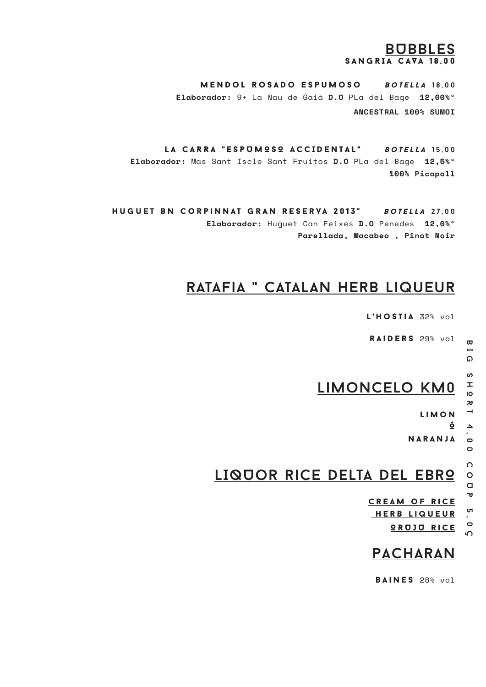## BUBBLES  $S AN G R I A C A V A 18.00$

mendol rosado espumoso *boTELLA* 18,00 **Elaborador:** 9+ La Nau de Gaià **D.O** PLa del Bage **12,00%º ANCESTRAL 100% SUMOI**

LA CARRA "ESPUMOSO ACCIDENTAL" *boTELLA* 15,00 **Elaborador:** Mas Sant Iscle Sant Fruitos **D.O** PLa del Bage **12,5%º 100% Picapoll**

Huguet bn corpinnat gran reserva 2013" *boTELLA* 27,00 **Elaborador:** Huguet Can Feixes **D.O** Penedes **12,0%º Parellada, Macabeo , Pinot Noir** 

## ratafia " catalan herb liqueur

l'hostia 32% vol

RAIDERS 29% vol

ഹ

 $\mathbf{\overline{w}}$ 

## limoncelo km0

l i m o n

Ó

naranja

LIQUOR RICE DELTA DEL EBRO

cream of rice **HERB LIQUEUR** 

OR UJU RICE

## PACHARAN

BAINES 28% vol